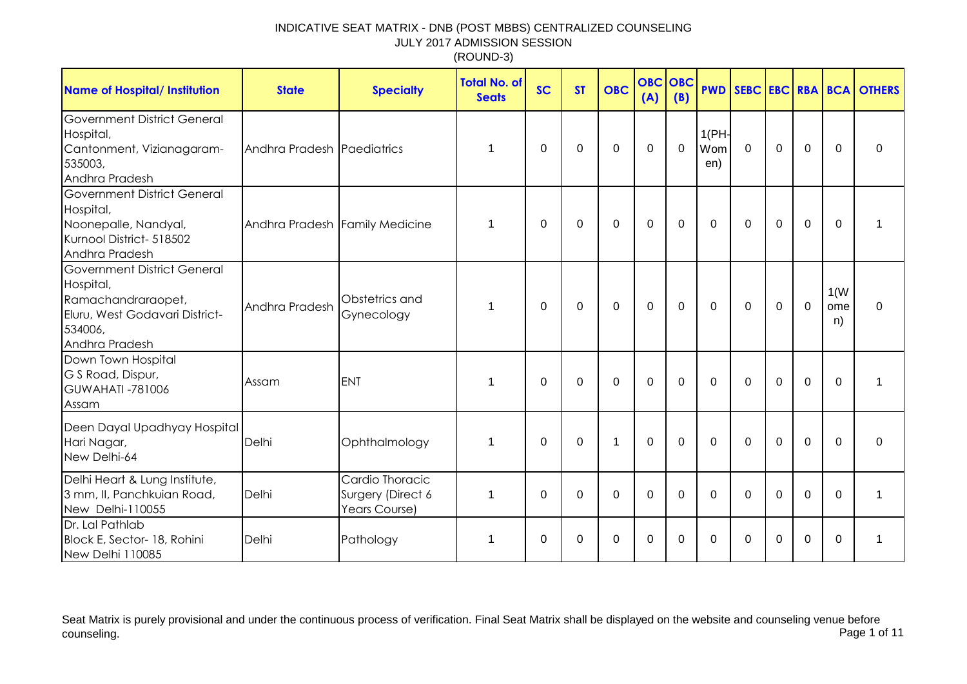| <b>Name of Hospital/ Institution</b>                                                                                                 | <b>State</b>                   | <b>Specialty</b>                                      | <b>Total No. of</b><br><b>Seats</b> | <b>SC</b> | <b>ST</b> | <b>OBC</b>  | <b>OBC</b><br>(A) | OBC<br>(B) |                     |              |             |             |                   | <b>PWD SEBC EBC RBA BCA OTHERS</b> |
|--------------------------------------------------------------------------------------------------------------------------------------|--------------------------------|-------------------------------------------------------|-------------------------------------|-----------|-----------|-------------|-------------------|------------|---------------------|--------------|-------------|-------------|-------------------|------------------------------------|
| <b>Government District General</b><br>Hospital,<br>Cantonment, Vizianagaram-<br>535003,<br>Andhra Pradesh                            | Andhra Pradesh Paediatrics     |                                                       | 1                                   | 0         | 0         | $\pmb{0}$   | 0                 | 0          | 1(PH)<br>Wom<br>en) | $\mathbf 0$  | $\mathbf 0$ | $\mathbf 0$ | $\Omega$          | 0                                  |
| <b>Government District General</b><br>Hospital,<br>Noonepalle, Nandyal,<br>Kurnool District- 518502<br>Andhra Pradesh                | Andhra Pradesh Family Medicine |                                                       | $\mathbf{1}$                        | 0         | 0         | $\mathbf 0$ | $\mathbf 0$       | 0          | $\mathbf{0}$        | $\Omega$     | $\mathbf 0$ | $\mathbf 0$ | $\Omega$          |                                    |
| <b>Government District General</b><br>Hospital,<br>Ramachandraraopet,<br>Eluru, West Godavari District-<br>534006,<br>Andhra Pradesh | Andhra Pradesh                 | Obstetrics and<br>Gynecology                          | 1                                   | $\Omega$  | 0         | $\mathbf 0$ | $\mathbf 0$       | 0          | $\Omega$            | $\mathbf{0}$ | $\mathbf 0$ | $\mathbf 0$ | 1(W)<br>ome<br>n) | $\Omega$                           |
| Down Town Hospital<br>G S Road, Dispur,<br><b>GUWAHATI -781006</b><br>Assam                                                          | Assam                          | <b>ENT</b>                                            | $\mathbf 1$                         | $\Omega$  | $\Omega$  | $\Omega$    | $\Omega$          | $\Omega$   | $\mathbf{0}$        | $\mathbf{0}$ | $\Omega$    | $\mathbf 0$ | $\Omega$          |                                    |
| Deen Dayal Upadhyay Hospital<br>Hari Nagar,<br>New Delhi-64                                                                          | Delhi                          | Ophthalmology                                         | 1                                   | $\Omega$  | $\Omega$  | 1           | $\overline{0}$    | $\Omega$   | $\Omega$            | $\Omega$     | $\Omega$    | $\Omega$    | $\Omega$          | $\Omega$                           |
| Delhi Heart & Lung Institute,<br>3 mm, II, Panchkuian Road,<br>New Delhi-110055                                                      | Delhi                          | Cardio Thoracic<br>Surgery (Direct 6<br>Years Course) | 1                                   | $\Omega$  | $\Omega$  | $\Omega$    | $\Omega$          | 0          | $\Omega$            | $\Omega$     | $\Omega$    | $\Omega$    | $\Omega$          | 1                                  |
| Dr. Lal Pathlab<br>Block E, Sector- 18, Rohini<br>New Delhi 110085                                                                   | Delhi                          | Pathology                                             | 1                                   | $\Omega$  | 0         | 0           | $\Omega$          | 0          | $\Omega$            | 0            | $\Omega$    | 0           | $\Omega$          |                                    |

Seat Matrix is purely provisional and under the continuous process of verification. Final Seat Matrix shall be displayed on the website and counseling venue before<br>Page 1 of 11 counseling. Page 1 of 11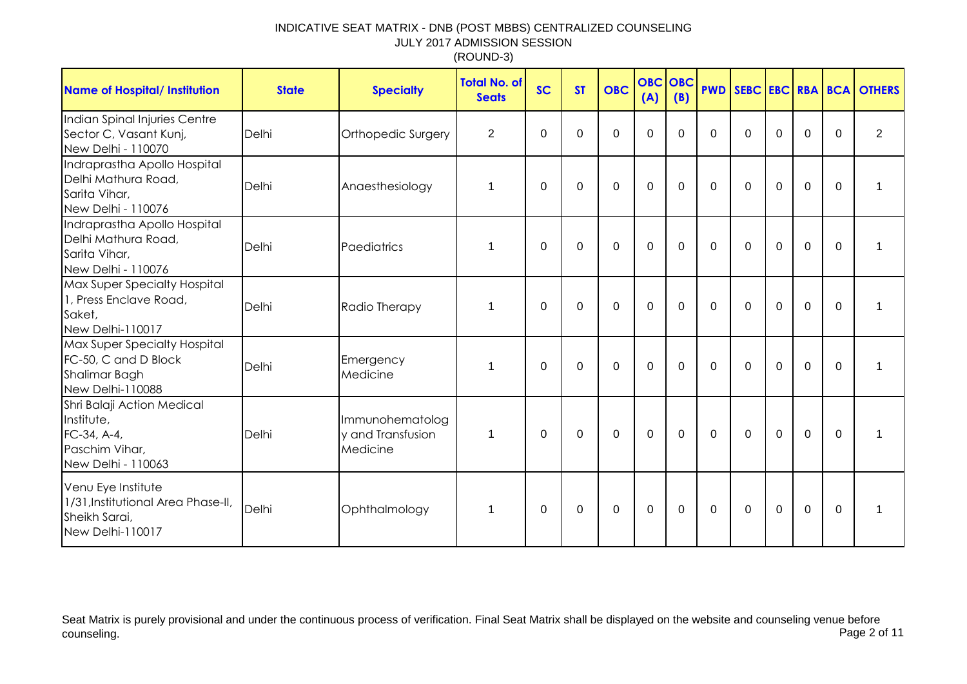| <b>Name of Hospital/ Institution</b>                                                             | <b>State</b> | <b>Specialty</b>                                 | Total No. of<br><b>Seats</b> | <b>SC</b>   | <b>ST</b> | <b>OBC</b>  | <b>OBC OBC</b><br>(A) | (B)          | <b>PWD</b>  |          |             |             |                | <b>SEBC EBC RBA BCA OTHERS</b> |
|--------------------------------------------------------------------------------------------------|--------------|--------------------------------------------------|------------------------------|-------------|-----------|-------------|-----------------------|--------------|-------------|----------|-------------|-------------|----------------|--------------------------------|
| Indian Spinal Injuries Centre<br>Sector C, Vasant Kunj,<br>New Delhi - 110070                    | Delhi        | Orthopedic Surgery                               | $\overline{2}$               | 0           | 0         | 0           | 0                     | $\Omega$     | 0           | $\Omega$ | $\Omega$    | 0           | 0              | $\overline{2}$                 |
| Indraprastha Apollo Hospital<br>Delhi Mathura Road,<br>Sarita Vihar,<br>New Delhi - 110076       | Delhi        | Anaesthesiology                                  | 1                            | 0           | 0         | $\Omega$    | $\Omega$              | $\mathbf{0}$ | $\Omega$    | $\Omega$ | $\Omega$    | 0           | 0              | 1                              |
| Indraprastha Apollo Hospital<br>Delhi Mathura Road,<br>Sarita Vihar,<br>New Delhi - 110076       | Delhi        | Paediatrics                                      | 1                            | $\mathbf 0$ | $\Omega$  | $\mathbf 0$ | $\mathbf 0$           | $\mathbf 0$  | $\mathbf 0$ | 0        | $\mathbf 0$ | $\mathbf 0$ | $\mathbf 0$    | 1                              |
| Max Super Specialty Hospital<br>1, Press Enclave Road,<br>Saket,<br>New Delhi-110017             | Delhi        | Radio Therapy                                    | 1                            | $\mathbf 0$ | $\Omega$  | 0           | $\mathbf 0$           | $\mathbf{0}$ | $\mathbf 0$ | $\Omega$ | $\mathbf 0$ | $\mathbf 0$ | $\Omega$       | 1                              |
| <b>Max Super Specialty Hospital</b><br>FC-50, C and D Block<br>Shalimar Bagh<br>New Delhi-110088 | Delhi        | Emergency<br>Medicine                            | 1                            | $\Omega$    | $\Omega$  | $\Omega$    | $\Omega$              | $\mathbf{0}$ | $\mathbf 0$ | $\Omega$ | $\mathbf 0$ | $\mathbf 0$ | $\overline{0}$ | 1                              |
| Shri Balaji Action Medical<br>Institute,<br>FC-34, A-4,<br>Paschim Vihar,<br>New Delhi - 110063  | Delhi        | Immunohematolog<br>y and Transfusion<br>Medicine | 1                            | 0           | $\Omega$  | 0           | $\mathbf 0$           | $\mathbf{0}$ | $\Omega$    | $\Omega$ | $\mathbf 0$ | 0           | $\Omega$       | 1                              |
| Venu Eye Institute<br>1/31, Institutional Area Phase-II,<br>Sheikh Sarai,<br>New Delhi-110017    | Delhi        | Ophthalmology                                    | 1                            | 0           | 0         | 0           | 0                     | $\Omega$     | 0           | $\Omega$ | 0           | 0           | 0              | 1                              |

Seat Matrix is purely provisional and under the continuous process of verification. Final Seat Matrix shall be displayed on the website and counseling venue before<br>Page 2 of 11 counseling. Page 2 of 11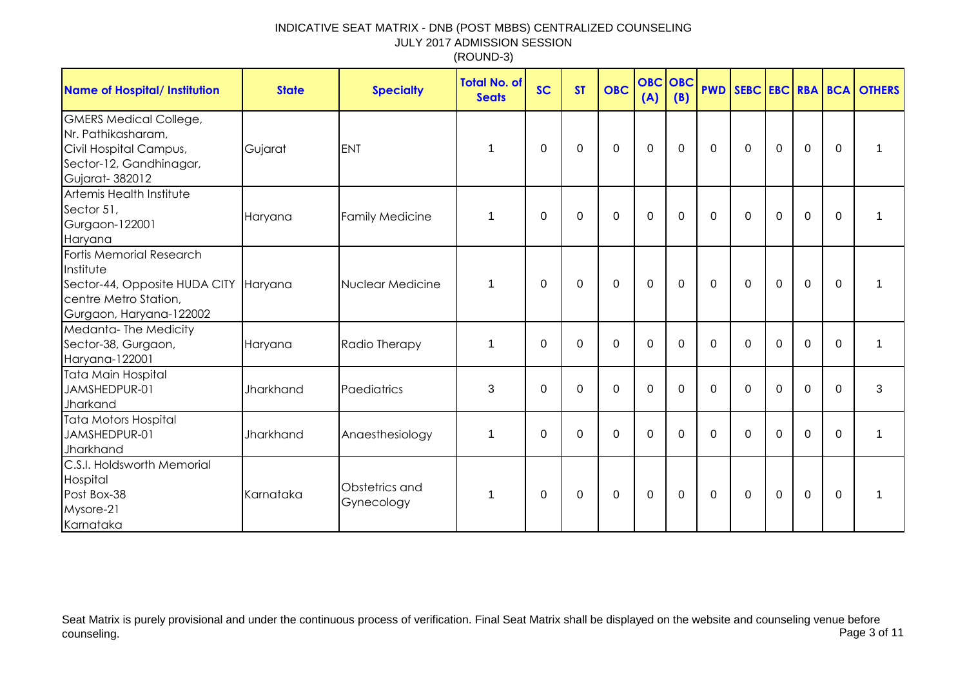| <b>Name of Hospital/ Institution</b>                                                                                               | <b>State</b> | <b>Specialty</b>             | <b>Total No. of</b><br><b>Seats</b> | <b>SC</b> | <b>ST</b>   | <b>OBC</b>  | <b>OBC</b><br>(A) | OBC<br>(B)  | <b>PWD</b>   |              |                |                |             | SEBC EBC RBA BCA OTHERS |
|------------------------------------------------------------------------------------------------------------------------------------|--------------|------------------------------|-------------------------------------|-----------|-------------|-------------|-------------------|-------------|--------------|--------------|----------------|----------------|-------------|-------------------------|
| <b>GMERS Medical College,</b><br>Nr. Pathikasharam,<br>Civil Hospital Campus,<br>Sector-12, Gandhinagar,<br>Gujarat-382012         | Gujarat      | <b>ENT</b>                   | 1                                   | 0         | 0           | $\mathbf 0$ | $\mathbf 0$       | $\Omega$    | $\mathbf{0}$ | $\mathbf{0}$ | $\Omega$       | $\mathbf 0$    | $\Omega$    |                         |
| Artemis Health Institute<br>Sector 51,<br>Gurgaon-122001<br>Haryana                                                                | Haryana      | <b>Family Medicine</b>       | $\mathbf{1}$                        | $\Omega$  | $\mathbf 0$ | $\mathbf 0$ | $\mathbf 0$       | $\mathbf 0$ | $\mathbf{0}$ | $\mathbf 0$  | $\mathbf 0$    | $\overline{0}$ | $\mathbf 0$ |                         |
| Fortis Memorial Research<br>Institute<br>Sector-44, Opposite HUDA CITY Haryana<br>centre Metro Station,<br>Gurgaon, Haryana-122002 |              | Nuclear Medicine             | 1                                   | $\Omega$  | 0           | $\mathbf 0$ | $\Omega$          | $\Omega$    | $\mathbf{0}$ | $\mathbf{0}$ | $\overline{0}$ | $\mathbf 0$    | $\Omega$    |                         |
| Medanta-The Medicity<br>Sector-38, Gurgaon,<br>Haryana-122001                                                                      | Haryana      | Radio Therapy                | 1                                   | 0         | 0           | 0           | 0                 | 0           | $\Omega$     | $\Omega$     | $\Omega$       | 0              | $\Omega$    | 1                       |
| Tata Main Hospital<br>JAMSHEDPUR-01<br>Jharkand                                                                                    | Jharkhand    | Paediatrics                  | 3                                   | $\Omega$  | 0           | $\mathbf 0$ | $\mathbf 0$       | $\Omega$    | $\Omega$     | $\Omega$     | $\Omega$       | $\mathbf 0$    | $\Omega$    | 3                       |
| <b>Tata Motors Hospital</b><br>JAMSHEDPUR-01<br>Jharkhand                                                                          | Jharkhand    | Anaesthesiology              | 1                                   | $\Omega$  | 0           | $\mathbf 0$ | $\mathbf 0$       | $\Omega$    | $\Omega$     | $\Omega$     | $\Omega$       | $\mathbf 0$    | $\Omega$    | 1                       |
| C.S.I. Holdsworth Memorial<br>Hospital<br>Post Box-38<br>Mysore-21<br>Karnataka                                                    | Karnataka    | Obstetrics and<br>Gynecology | 1                                   | 0         | 0           | $\mathbf 0$ | $\mathbf 0$       | 0           | 0            | $\mathbf{0}$ | $\mathbf 0$    | $\mathbf 0$    | $\Omega$    |                         |

Seat Matrix is purely provisional and under the continuous process of verification. Final Seat Matrix shall be displayed on the website and counseling venue before<br>Page 3 of 11 counseling. Page 3 of 11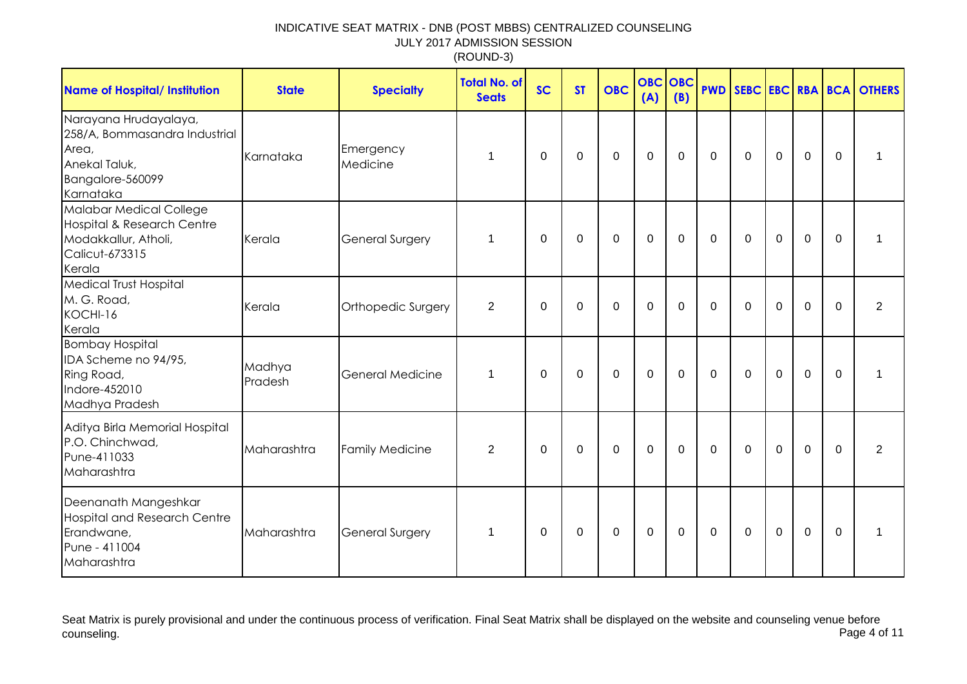| <b>Name of Hospital/ Institution</b>                                                                                 | <b>State</b>      | <b>Specialty</b>        | <b>Total No. of</b><br><b>Seats</b> | <b>SC</b> | <b>ST</b>   | <b>OBC</b>  | <b>OBC</b><br>(A) | OBC<br>(B)  |             |             |                |                |             | <b>PWD SEBC EBC RBA BCA OTHERS</b> |
|----------------------------------------------------------------------------------------------------------------------|-------------------|-------------------------|-------------------------------------|-----------|-------------|-------------|-------------------|-------------|-------------|-------------|----------------|----------------|-------------|------------------------------------|
| Narayana Hrudayalaya,<br>258/A, Bommasandra Industrial<br>Area,<br>Anekal Taluk,<br>Bangalore-560099<br>Karnataka    | Karnataka         | Emergency<br>Medicine   | $\mathbf 1$                         | $\Omega$  | $\mathbf 0$ | $\mathbf 0$ | $\mathbf 0$       | $\mathbf 0$ | $\mathbf 0$ | $\mathbf 0$ | $\overline{0}$ | $\mathbf 0$    | $\mathbf 0$ | 1                                  |
| Malabar Medical College<br><b>Hospital &amp; Research Centre</b><br>Modakkallur, Atholi,<br>Calicut-673315<br>Kerala | Kerala            | <b>General Surgery</b>  | 1                                   | $\Omega$  | 0           | $\mathbf 0$ | $\mathbf 0$       | 0           | $\mathbf 0$ | $\Omega$    | $\overline{0}$ | $\mathbf 0$    | $\mathbf 0$ |                                    |
| <b>Medical Trust Hospital</b><br>M. G. Road,<br>KOCHI-16<br>Kerala                                                   | Kerala            | Orthopedic Surgery      | $\overline{2}$                      | $\Omega$  | $\mathbf 0$ | $\mathbf 0$ | $\mathbf 0$       | $\Omega$    | $\mathbf 0$ | $\Omega$    | $\mathbf 0$    | $\mathbf 0$    | $\Omega$    | $\overline{2}$                     |
| <b>Bombay Hospital</b><br>IDA Scheme no 94/95,<br>Ring Road,<br>Indore-452010<br>Madhya Pradesh                      | Madhya<br>Pradesh | <b>General Medicine</b> | $\mathbf 1$                         | $\Omega$  | $\Omega$    | $\mathbf 0$ | $\mathbf 0$       | $\Omega$    | $\Omega$    | $\Omega$    | $\Omega$       | $\Omega$       | $\Omega$    |                                    |
| Aditya Birla Memorial Hospital<br>P.O. Chinchwad,<br>Pune-411033<br>Maharashtra                                      | Maharashtra       | <b>Family Medicine</b>  | $\overline{2}$                      | $\Omega$  | $\mathbf 0$ | $\mathbf 0$ | $\mathbf 0$       | $\mathbf 0$ | $\mathbf 0$ | $\mathbf 0$ | $\mathbf 0$    | $\overline{0}$ | $\mathbf 0$ | $\overline{2}$                     |
| Deenanath Mangeshkar<br><b>Hospital and Research Centre</b><br>Erandwane,<br>Pune - 411004<br>Maharashtra            | Maharashtra       | <b>General Surgery</b>  | $\mathbf 1$                         | $\Omega$  | $\mathbf 0$ | $\mathbf 0$ | $\mathbf 0$       | 0           | $\mathbf 0$ | $\mathbf 0$ | $\mathbf 0$    | $\mathbf 0$    | $\mathbf 0$ | 1                                  |

Seat Matrix is purely provisional and under the continuous process of verification. Final Seat Matrix shall be displayed on the website and counseling venue before<br>Page 4 of 11 counseling. Page 4 of 11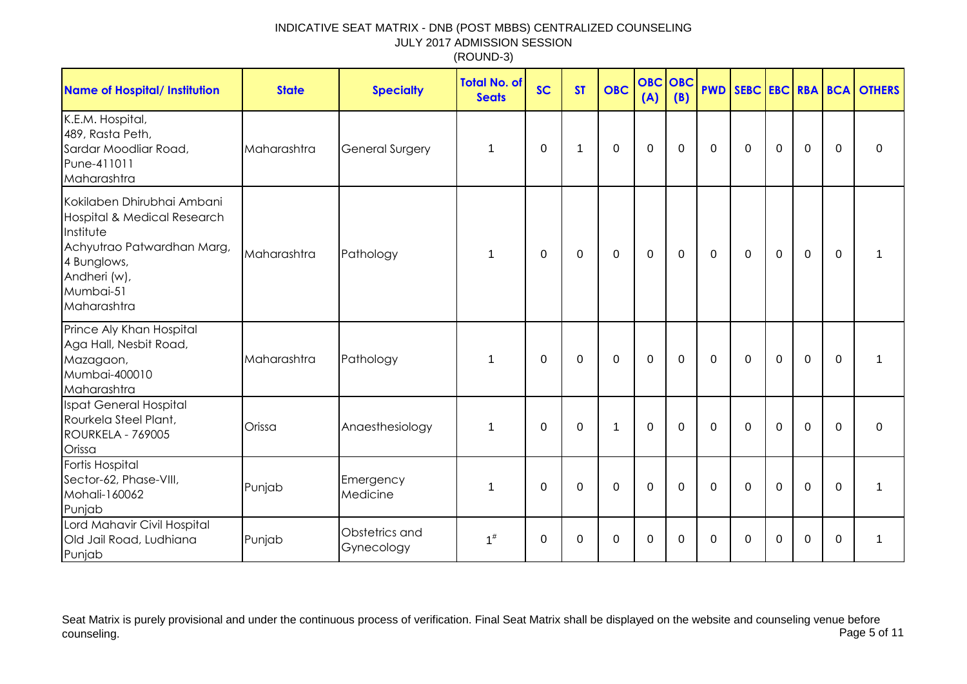| <b>Name of Hospital/ Institution</b>                                                                                                                            | <b>State</b> | <b>Specialty</b>             | <b>Total No. of</b><br><b>Seats</b> | <b>SC</b> | <b>ST</b>   | <b>OBC</b>   | <b>OBC</b><br>(A) | OBC<br>(B)  |              |              |             |                |             | <b>PWD SEBC EBC RBA BCA OTHERS</b> |
|-----------------------------------------------------------------------------------------------------------------------------------------------------------------|--------------|------------------------------|-------------------------------------|-----------|-------------|--------------|-------------------|-------------|--------------|--------------|-------------|----------------|-------------|------------------------------------|
| K.E.M. Hospital,<br>489, Rasta Peth,<br>Sardar Moodliar Road,<br>Pune-411011<br>Maharashtra                                                                     | Maharashtra  | <b>General Surgery</b>       | 1                                   | $\Omega$  | 1           | $\mathbf 0$  | $\mathbf 0$       | 0           | $\Omega$     | $\Omega$     | $\mathbf 0$ | $\overline{0}$ | $\Omega$    | $\Omega$                           |
| Kokilaben Dhirubhai Ambani<br>Hospital & Medical Research<br>Institute<br>Achyutrao Patwardhan Marg,<br>4 Bunglows,<br>Andheri (w),<br>Mumbai-51<br>Maharashtra | Maharashtra  | Pathology                    | $\mathbf 1$                         | 0         | 0           | $\mathbf 0$  | $\mathbf 0$       | $\mathbf 0$ | $\mathbf{0}$ | $\mathbf{0}$ | $\mathbf 0$ | $\mathbf 0$    | $\Omega$    |                                    |
| Prince Aly Khan Hospital<br>Aga Hall, Nesbit Road,<br>Mazagaon,<br>Mumbai-400010<br>Maharashtra                                                                 | Maharashtra  | Pathology                    | $\mathbf 1$                         | 0         | 0           | $\mathbf 0$  | 0                 | 0           | $\mathbf{0}$ | $\Omega$     | $\mathbf 0$ | $\mathbf 0$    | $\Omega$    |                                    |
| Ispat General Hospital<br>Rourkela Steel Plant,<br>ROURKELA - 769005<br>Orissa                                                                                  | Orissa       | Anaesthesiology              | $\mathbf 1$                         | 0         | $\mathbf 0$ | $\mathbf{1}$ | $\mathbf 0$       | 0           | $\mathbf{0}$ | 0            | $\mathbf 0$ | $\mathbf 0$    | $\mathbf 0$ | $\mathbf 0$                        |
| Fortis Hospital<br>Sector-62, Phase-VIII,<br>Mohali-160062<br>Punjab                                                                                            | Punjab       | Emergency<br>Medicine        | $\mathbf 1$                         | 0         | 0           | $\mathbf 0$  | 0                 | $\Omega$    | 0            | $\mathbf{0}$ | 0           | $\mathbf 0$    | $\Omega$    |                                    |
| Lord Mahavir Civil Hospital<br>Old Jail Road, Ludhiana<br>Punjab                                                                                                | Punjab       | Obstetrics and<br>Gynecology | $1^{\#}$                            | $\Omega$  | 0           | 0            | 0                 | 0           | $\Omega$     | $\mathbf{0}$ | $\Omega$    | $\mathbf 0$    | $\Omega$    | 1                                  |

Seat Matrix is purely provisional and under the continuous process of verification. Final Seat Matrix shall be displayed on the website and counseling venue before<br>Page 5 of 11 counseling. Page 5 of 11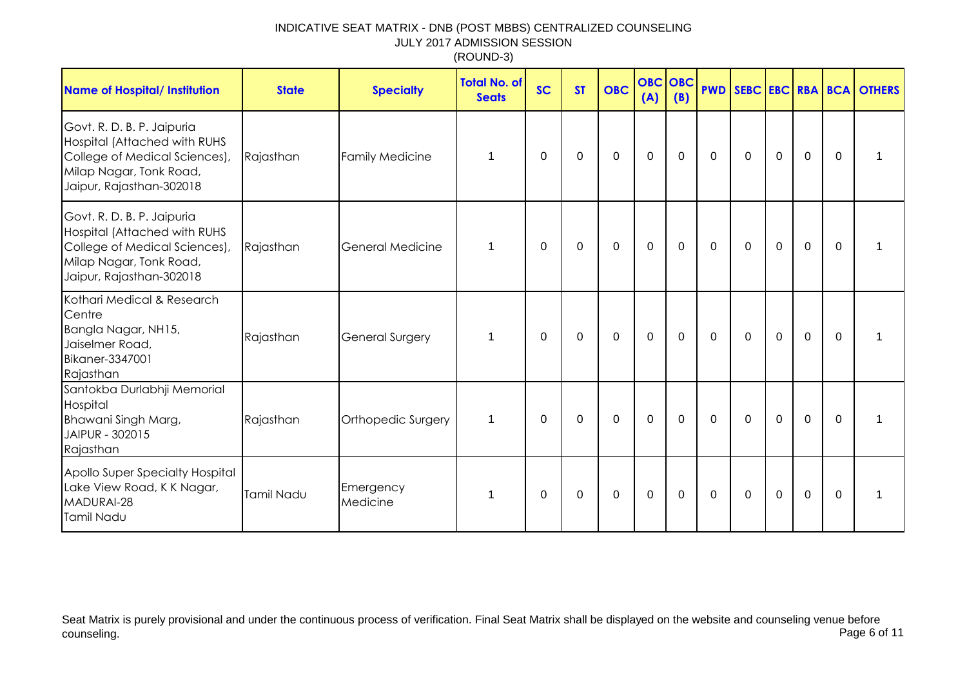| <b>Name of Hospital/ Institution</b>                                                                                                               | <b>State</b> | <b>Specialty</b>       | <b>Total No. of</b><br><b>Seats</b> | <b>SC</b>   | <b>ST</b> | <b>OBC</b>  | <b>OBC OBC</b><br>(A) | (B)         |             |             |             |                |          | <b>PWD SEBC EBC RBA BCA OTHERS</b> |
|----------------------------------------------------------------------------------------------------------------------------------------------------|--------------|------------------------|-------------------------------------|-------------|-----------|-------------|-----------------------|-------------|-------------|-------------|-------------|----------------|----------|------------------------------------|
| Govt. R. D. B. P. Jaipuria<br>Hospital (Attached with RUHS<br>College of Medical Sciences),<br>Milap Nagar, Tonk Road,<br>Jaipur, Rajasthan-302018 | Rajasthan    | <b>Family Medicine</b> |                                     | $\mathbf 0$ | $\Omega$  | $\mathbf 0$ | $\mathbf 0$           | $\mathbf 0$ | $\Omega$    | $\mathbf 0$ | $\mathbf 0$ | $\overline{0}$ | $\Omega$ |                                    |
| Govt. R. D. B. P. Jaipuria<br>Hospital (Attached with RUHS<br>College of Medical Sciences),<br>Milap Nagar, Tonk Road,<br>Jaipur, Rajasthan-302018 | Rajasthan    | General Medicine       | 1                                   | 0           | 0         | $\mathbf 0$ | $\mathbf 0$           | 0           | 0           | $\Omega$    | $\mathbf 0$ | $\mathbf 0$    | $\Omega$ |                                    |
| Kothari Medical & Research<br>Centre<br>Bangla Nagar, NH15,<br>Jaiselmer Road,<br><b>Bikaner-3347001</b><br>Rajasthan                              | Rajasthan    | <b>General Surgery</b> |                                     | 0           | $\Omega$  | $\mathbf 0$ | $\mathbf 0$           | $\mathbf 0$ | $\mathbf 0$ | $\mathbf 0$ | $\mathbf 0$ | $\overline{0}$ | $\Omega$ |                                    |
| Santokba Durlabhji Memorial<br>Hospital<br>Bhawani Singh Marg,<br>JAIPUR - 302015<br>Rajasthan                                                     | Rajasthan    | Orthopedic Surgery     | 1                                   | 0           | 0         | 0           | 0                     | 0           | $\mathbf 0$ | $\Omega$    | 0           | $\Omega$       | $\Omega$ |                                    |
| Apollo Super Specialty Hospital<br>Lake View Road, K K Nagar,<br>MADURAI-28<br>Tamil Nadu                                                          | Tamil Nadu   | Emergency<br>Medicine  |                                     | 0           | 0         | 0           | 0                     | 0           | 0           | $\Omega$    | 0           | $\Omega$       | $\Omega$ |                                    |

Seat Matrix is purely provisional and under the continuous process of verification. Final Seat Matrix shall be displayed on the website and counseling venue before<br>Page 6 of 11 counseling. Page 6 of 11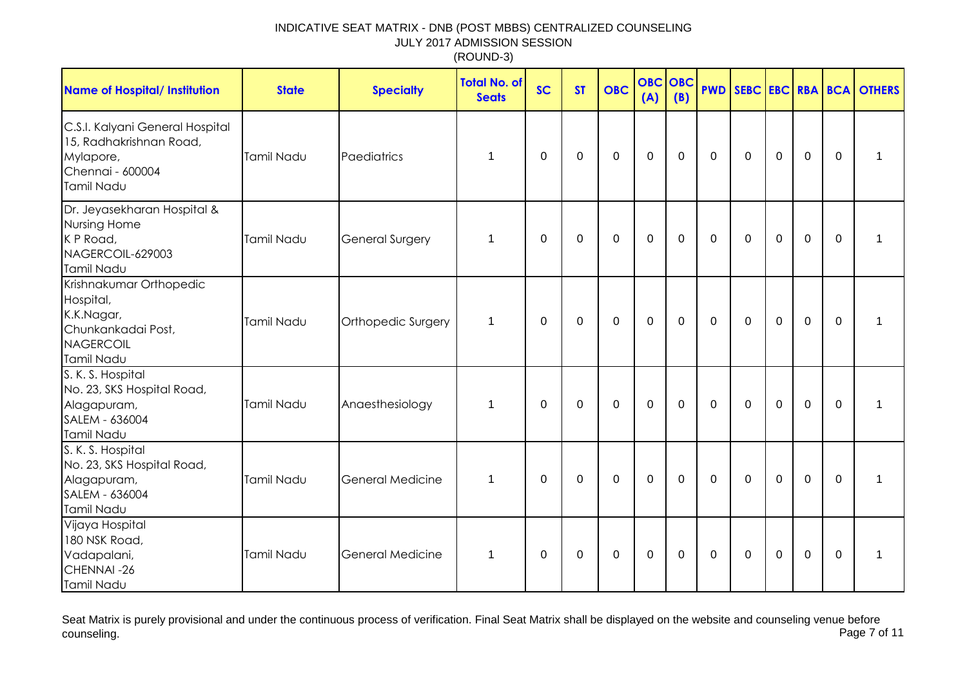| <b>Name of Hospital/ Institution</b>                                                                      | <b>State</b> | <b>Specialty</b>        | <b>Total No. of</b><br><b>Seats</b> | <b>SC</b>   | <b>ST</b> | <b>OBC</b>  | <b>OBC</b><br>(A) | <b>OBC</b><br>(B) | <b>PWD</b>   |          |              |                |             | SEBC EBC RBA BCA OTHERS |
|-----------------------------------------------------------------------------------------------------------|--------------|-------------------------|-------------------------------------|-------------|-----------|-------------|-------------------|-------------------|--------------|----------|--------------|----------------|-------------|-------------------------|
| C.S.I. Kalyani General Hospital<br>15, Radhakrishnan Road,<br>Mylapore,<br>Chennai - 600004<br>Tamil Nadu | Tamil Nadu   | Paediatrics             | 1                                   | 0           | 0         | $\mathbf 0$ | $\mathbf 0$       | 0                 | 0            | 0        | $\mathbf 0$  | $\mathbf 0$    | 0           | 1                       |
| Dr. Jeyasekharan Hospital &<br>Nursing Home<br>K P Road,<br>NAGERCOIL-629003<br>Tamil Nadu                | Tamil Nadu   | General Surgery         | 1                                   | $\Omega$    | $\Omega$  | $\mathbf 0$ | $\mathbf 0$       | $\mathbf 0$       | $\Omega$     | $\Omega$ | $\mathbf 0$  | $\overline{0}$ | $\Omega$    |                         |
| Krishnakumar Orthopedic<br>Hospital,<br>K.K.Nagar,<br>Chunkankadai Post,<br>NAGERCOIL<br>Tamil Nadu       | Tamil Nadu   | Orthopedic Surgery      | 1                                   | 0           | 0         | 0           | $\mathbf 0$       | $\mathbf 0$       | $\mathbf{0}$ | $\Omega$ | $\mathbf{0}$ | $\mathbf 0$    | $\Omega$    | 1                       |
| S. K. S. Hospital<br>No. 23, SKS Hospital Road,<br>Alagapuram,<br>SALEM - 636004<br>Tamil Nadu            | Tamil Nadu   | Anaesthesiology         | 1                                   | $\mathbf 0$ | 0         | $\mathbf 0$ | $\mathbf 0$       | $\mathbf 0$       | $\mathbf 0$  | 0        | $\mathbf 0$  | $\mathbf 0$    | $\mathbf 0$ | 1                       |
| S. K. S. Hospital<br>No. 23, SKS Hospital Road,<br>Alagapuram,<br>SALEM - 636004<br>Tamil Nadu            | Tamil Nadu   | <b>General Medicine</b> | 1                                   | $\Omega$    | 0         | 0           | 0                 | $\Omega$          | $\Omega$     | $\Omega$ | 0            | $\overline{0}$ | $\Omega$    | 1                       |
| Vijaya Hospital<br>180 NSK Road,<br>Vadapalani,<br>CHENNAI-26<br>Tamil Nadu                               | Tamil Nadu   | General Medicine        | 1                                   | 0           | 0         | 0           | $\mathbf 0$       | $\Omega$          | 0            | $\Omega$ | $\mathbf{0}$ | $\mathbf 0$    | $\Omega$    | 1                       |

Seat Matrix is purely provisional and under the continuous process of verification. Final Seat Matrix shall be displayed on the website and counseling venue before<br>Page 7 of 11 counseling. Page 7 of 11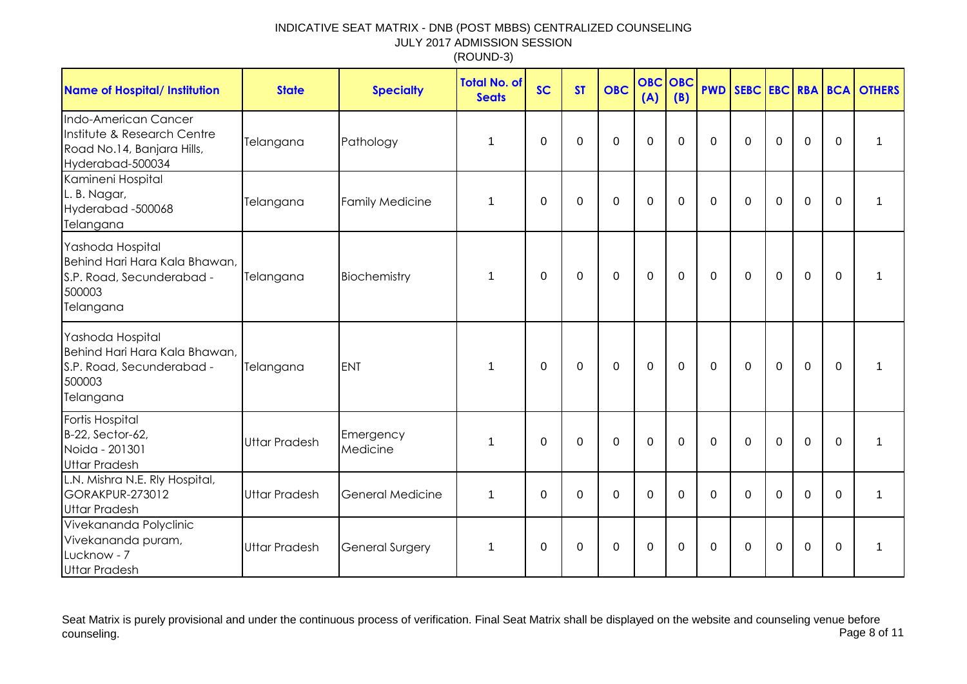| <b>Name of Hospital/ Institution</b>                                                                  | <b>State</b>         | <b>Specialty</b>       | <b>Total No. of</b><br><b>Seats</b> | <b>SC</b>      | <b>ST</b>   | <b>OBC</b>     | <b>OBC</b><br>(A) | OBC<br>(B)  |              |             |                |                |             | <b>PWD SEBC EBC RBA BCA OTHERS</b> |
|-------------------------------------------------------------------------------------------------------|----------------------|------------------------|-------------------------------------|----------------|-------------|----------------|-------------------|-------------|--------------|-------------|----------------|----------------|-------------|------------------------------------|
| Indo-American Cancer<br>Institute & Research Centre<br>Road No.14, Banjara Hills,<br>Hyderabad-500034 | Telangana            | Pathology              | 1                                   | $\overline{0}$ | $\mathbf 0$ | $\mathbf 0$    | $\overline{0}$    | $\Omega$    | $\Omega$     | $\Omega$    | $\Omega$       | $\overline{0}$ | $\mathbf 0$ | 1                                  |
| Kamineni Hospital<br>L. B. Nagar,<br>Hyderabad -500068<br>Telangana                                   | Telangana            | <b>Family Medicine</b> | 1                                   | $\mathbf 0$    | $\mathbf 0$ | $\mathbf 0$    | $\mathbf 0$       | $\mathbf 0$ | $\Omega$     | $\mathbf 0$ | $\mathbf 0$    | $\mathbf 0$    | $\Omega$    | 1                                  |
| Yashoda Hospital<br>Behind Hari Hara Kala Bhawan,<br>S.P. Road, Secunderabad -<br>500003<br>Telangana | Telangana            | Biochemistry           | 1                                   | $\mathbf 0$    | $\mathbf 0$ | $\overline{0}$ | $\overline{0}$    | $\mathbf 0$ | $\mathbf{0}$ | $\Omega$    | $\overline{0}$ | $\mathbf 0$    | $\mathbf 0$ | 1                                  |
| Yashoda Hospital<br>Behind Hari Hara Kala Bhawan,<br>S.P. Road, Secunderabad -<br>500003<br>Telangana | Telangana            | <b>ENT</b>             | 1                                   | 0              | $\mathbf 0$ | $\mathbf 0$    | $\mathbf 0$       | $\mathbf 0$ | $\mathbf 0$  | $\mathbf 0$ | $\mathbf 0$    | $\mathbf 0$    | $\mathbf 0$ | 1                                  |
| Fortis Hospital<br>B-22, Sector-62,<br>Noida - 201301<br><b>Uttar Pradesh</b>                         | <b>Uttar Pradesh</b> | Emergency<br>Medicine  | 1                                   | $\Omega$       | $\mathbf 0$ | $\Omega$       | $\overline{0}$    | $\Omega$    | $\Omega$     | $\Omega$    | $\Omega$       | $\mathbf 0$    | $\Omega$    | 1                                  |
| L.N. Mishra N.E. Rly Hospital,<br>GORAKPUR-273012<br><b>Uttar Pradesh</b>                             | <b>Uttar Pradesh</b> | General Medicine       | 1                                   | $\mathbf 0$    | $\mathbf 0$ | $\mathbf 0$    | $\mathbf 0$       | $\Omega$    | $\Omega$     | $\Omega$    | $\Omega$       | $\mathbf 0$    | $\Omega$    | 1                                  |
| Vivekananda Polyclinic<br>Vivekananda puram,<br>Lucknow - 7<br><b>Uttar Pradesh</b>                   | <b>Uttar Pradesh</b> | <b>General Surgery</b> | 1                                   | $\Omega$       | $\mathbf 0$ | $\Omega$       | $\overline{0}$    | $\Omega$    | $\mathbf 0$  | $\Omega$    | $\mathbf 0$    | $\mathbf 0$    | $\Omega$    | 1                                  |

Seat Matrix is purely provisional and under the continuous process of verification. Final Seat Matrix shall be displayed on the website and counseling venue before<br>Page 8 of 11 counseling. Page 8 of 11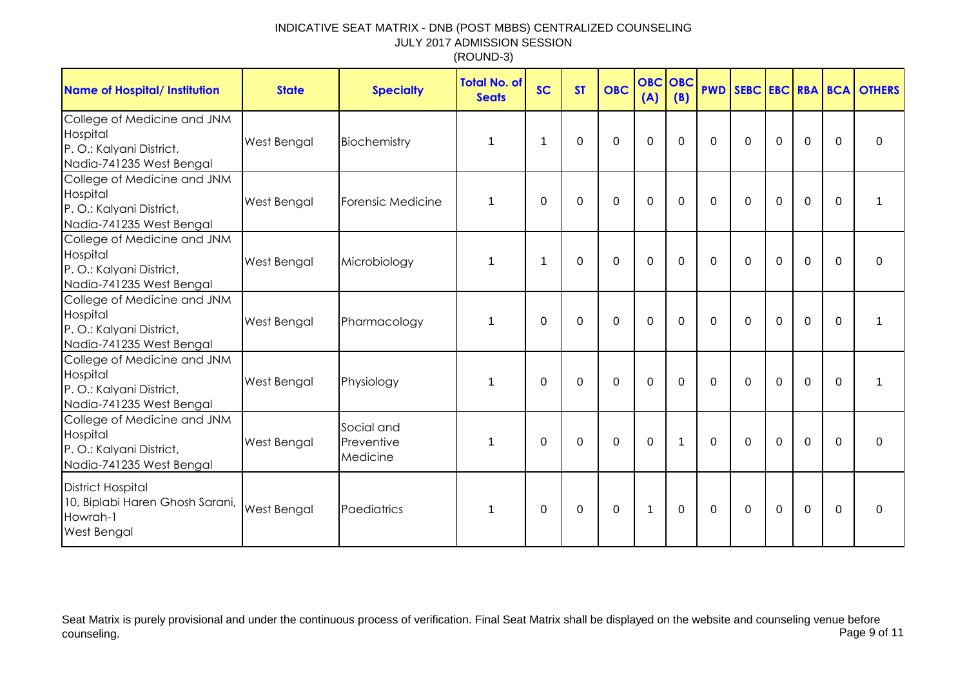| <b>Name of Hospital/ Institution</b>                                                            | <b>State</b>       | <b>Specialty</b>                     | <b>Total No. of</b><br><b>Seats</b> | <b>SC</b>   | <b>ST</b>   | <b>OBC</b> | <b>OBC OBC</b><br>(A) | (B)          | <b>PWD</b>   |             |             |             |                | SEBC EBC RBA BCA OTHERS |
|-------------------------------------------------------------------------------------------------|--------------------|--------------------------------------|-------------------------------------|-------------|-------------|------------|-----------------------|--------------|--------------|-------------|-------------|-------------|----------------|-------------------------|
| College of Medicine and JNM<br>Hospital<br>P.O.: Kalyani District,<br>Nadia-741235 West Bengal  | <b>West Bengal</b> | Biochemistry                         | 1                                   | 1           | 0           | $\Omega$   | 0                     | $\Omega$     | $\Omega$     | $\Omega$    | $\mathbf 0$ | $\mathbf 0$ | $\mathbf{0}$   | $\Omega$                |
| College of Medicine and JNM<br>Hospital<br>P.O.: Kalyani District,<br>Nadia-741235 West Bengal  | <b>West Bengal</b> | Forensic Medicine                    | 1                                   | 0           | $\Omega$    | 0          | 0                     | $\Omega$     | $\mathbf 0$  | $\Omega$    | $\mathbf 0$ | $\mathbf 0$ | $\overline{0}$ | 1                       |
| College of Medicine and JNM<br>Hospital<br>P.O.: Kalyani District,<br>Nadia-741235 West Bengal  | <b>West Bengal</b> | Microbiology                         | 1                                   | $\mathbf 1$ | $\mathbf 0$ | 0          | $\mathbf 0$           | $\mathbf 0$  | $\mathbf 0$  | $\mathbf 0$ | $\mathbf 0$ | $\mathbf 0$ | $\overline{0}$ | $\mathbf 0$             |
| College of Medicine and JNM<br>Hospital<br>P. O.: Kalyani District,<br>Nadia-741235 West Bengal | <b>West Bengal</b> | Pharmacology                         | $\mathbf 1$                         | 0           | $\Omega$    | 0          | $\mathbf 0$           | $\Omega$     | $\mathbf 0$  | $\Omega$    | $\mathbf 0$ | $\mathbf 0$ | $\mathbf 0$    | 1                       |
| College of Medicine and JNM<br>Hospital<br>P. O.: Kalyani District,<br>Nadia-741235 West Bengal | <b>West Bengal</b> | Physiology                           | 1                                   | 0           | $\Omega$    | 0          | $\mathbf 0$           | $\Omega$     | $\mathbf 0$  | $\Omega$    | $\mathbf 0$ | $\mathbf 0$ | $\overline{0}$ | 1                       |
| College of Medicine and JNM<br>Hospital<br>P. O.: Kalyani District,<br>Nadia-741235 West Bengal | <b>West Bengal</b> | Social and<br>Preventive<br>Medicine | 1                                   | $\mathbf 0$ | $\mathbf 0$ | 0          | $\mathbf{0}$          | $\mathbf{1}$ | $\mathbf 0$  | $\mathbf 0$ | $\mathbf 0$ | $\mathbf 0$ | $\overline{0}$ | 0                       |
| <b>District Hospital</b><br>10, Biplabi Haren Ghosh Sarani,<br>Howrah-1<br><b>West Bengal</b>   | <b>West Bengal</b> | Paediatrics                          |                                     | 0           | 0           | $\Omega$   | 1                     | $\Omega$     | $\mathbf{0}$ | $\Omega$    | $\Omega$    | 0           | $\Omega$       | $\Omega$                |

Seat Matrix is purely provisional and under the continuous process of verification. Final Seat Matrix shall be displayed on the website and counseling venue before<br>Page 9 of 11 counseling. Page 9 of 11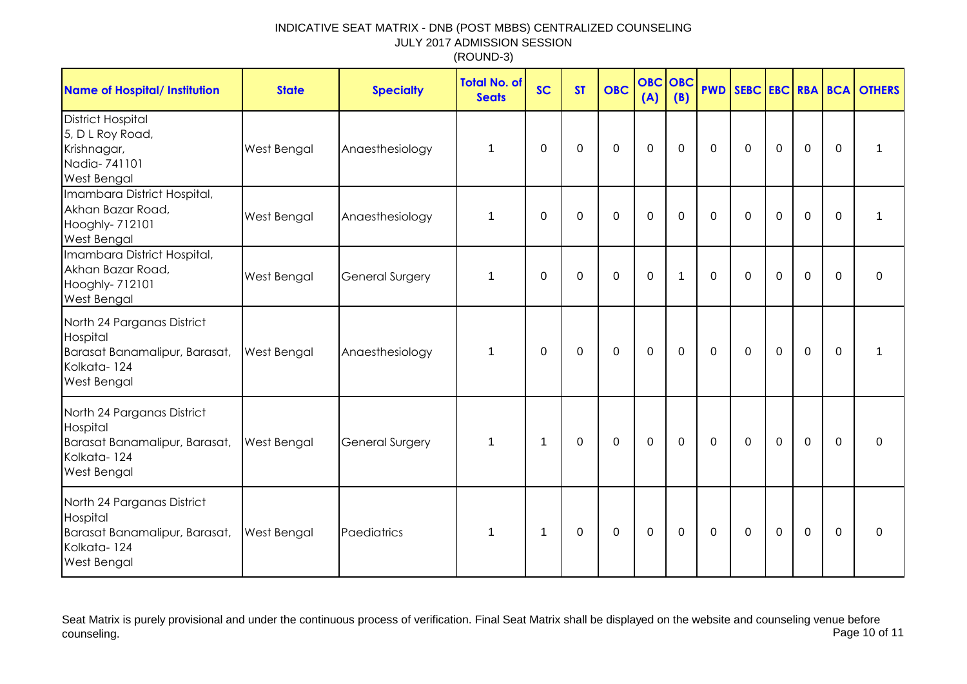| <b>Name of Hospital/ Institution</b>                                                                         | <b>State</b> | <b>Specialty</b>       | <b>Total No. of</b><br><b>Seats</b> | <b>SC</b>      | <b>ST</b>   | <b>OBC</b>  | <b>OBC</b><br>(A) | OBC<br>(B)   |             |             |             |             |             | <b>PWD SEBC EBC RBA BCA OTHERS</b> |
|--------------------------------------------------------------------------------------------------------------|--------------|------------------------|-------------------------------------|----------------|-------------|-------------|-------------------|--------------|-------------|-------------|-------------|-------------|-------------|------------------------------------|
| <b>District Hospital</b><br>5, D L Roy Road,<br>Krishnagar,<br>Nadia-741101<br><b>West Bengal</b>            | West Bengal  | Anaesthesiology        | $\mathbf 1$                         | 0              | $\mathbf 0$ | $\pmb{0}$   | $\boldsymbol{0}$  | $\mathbf 0$  | $\mathbf 0$ | $\mathbf 0$ | $\mathbf 0$ | $\mathbf 0$ | $\mathbf 0$ | 1                                  |
| Imambara District Hospital,<br>Akhan Bazar Road,<br>Hooghly- 712101<br>West Bengal                           | West Bengal  | Anaesthesiology        | 1                                   | 0              | $\mathbf 0$ | $\mathbf 0$ | $\mathbf 0$       | $\mathbf 0$  | $\mathbf 0$ | $\mathbf 0$ | $\mathbf 0$ | $\mathbf 0$ | $\mathbf 0$ | 1                                  |
| Imambara District Hospital,<br>Akhan Bazar Road,<br>Hooghly-712101<br>West Bengal                            | West Bengal  | <b>General Surgery</b> | 1                                   | $\Omega$       | $\mathbf 0$ | $\mathbf 0$ | $\mathbf 0$       | $\mathbf{1}$ | $\mathbf 0$ | $\mathbf 0$ | $\mathbf 0$ | $\mathbf 0$ | $\Omega$    | $\mathbf 0$                        |
| North 24 Parganas District<br>Hospital<br>Barasat Banamalipur, Barasat,<br>Kolkata-124<br>West Bengal        | West Bengal  | Anaesthesiology        | $\mathbf 1$                         | $\Omega$       | 0           | $\mathbf 0$ | $\mathbf 0$       | $\mathbf 0$  | $\mathbf 0$ | $\mathbf 0$ | $\mathbf 0$ | $\mathbf 0$ | $\Omega$    |                                    |
| North 24 Parganas District<br>Hospital<br>Barasat Banamalipur, Barasat,<br>Kolkata-124<br>West Bengal        | West Bengal  | <b>General Surgery</b> | -1                                  | $\overline{1}$ | 0           | $\mathbf 0$ | $\mathbf 0$       | $\mathbf 0$  | $\mathbf 0$ | $\mathbf 0$ | $\mathbf 0$ | $\mathbf 0$ | $\mathbf 0$ | $\Omega$                           |
| North 24 Parganas District<br>Hospital<br>Barasat Banamalipur, Barasat,<br>Kolkata-124<br><b>West Bengal</b> | West Bengal  | Paediatrics            | 1                                   | 1              | $\mathbf 0$ | $\mathbf 0$ | $\mathbf 0$       | $\mathbf 0$  | $\mathbf 0$ | $\mathbf 0$ | $\mathbf 0$ | $\mathbf 0$ | $\mathbf 0$ | $\mathbf 0$                        |

Seat Matrix is purely provisional and under the continuous process of verification. Final Seat Matrix shall be displayed on the website and counseling venue before<br>Page 10 of 11 counseling. Page 10 of 11